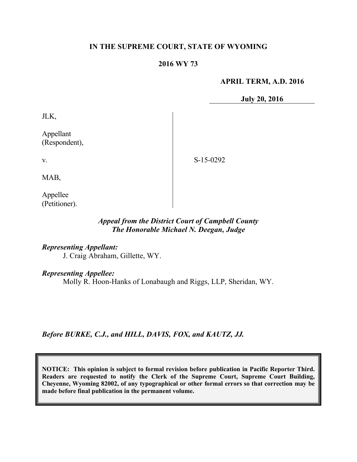#### **IN THE SUPREME COURT, STATE OF WYOMING**

#### **2016 WY 73**

#### **APRIL TERM, A.D. 2016**

**July 20, 2016**

JLK,

Appellant (Respondent),

S-15-0292

MAB,

v.

Appellee (Petitioner).

## *Appeal from the District Court of Campbell County The Honorable Michael N. Deegan, Judge*

*Representing Appellant:* J. Craig Abraham, Gillette, WY.

*Representing Appellee:*

Molly R. Hoon-Hanks of Lonabaugh and Riggs, LLP, Sheridan, WY.

*Before BURKE, C.J., and HILL, DAVIS, FOX, and KAUTZ, JJ.*

**NOTICE: This opinion is subject to formal revision before publication in Pacific Reporter Third. Readers are requested to notify the Clerk of the Supreme Court, Supreme Court Building, Cheyenne, Wyoming 82002, of any typographical or other formal errors so that correction may be made before final publication in the permanent volume.**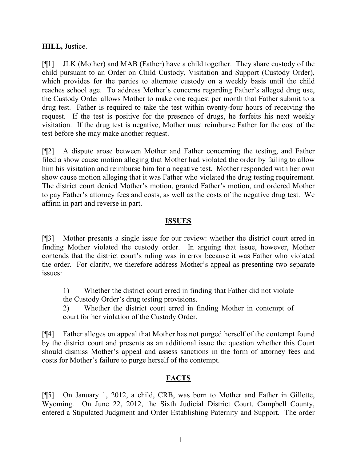### **HILL,** Justice.

[¶1] JLK (Mother) and MAB (Father) have a child together. They share custody of the child pursuant to an Order on Child Custody, Visitation and Support (Custody Order), which provides for the parties to alternate custody on a weekly basis until the child reaches school age. To address Mother's concerns regarding Father's alleged drug use, the Custody Order allows Mother to make one request per month that Father submit to a drug test. Father is required to take the test within twenty-four hours of receiving the request. If the test is positive for the presence of drugs, he forfeits his next weekly visitation. If the drug test is negative, Mother must reimburse Father for the cost of the test before she may make another request.

[¶2] A dispute arose between Mother and Father concerning the testing, and Father filed a show cause motion alleging that Mother had violated the order by failing to allow him his visitation and reimburse him for a negative test. Mother responded with her own show cause motion alleging that it was Father who violated the drug testing requirement. The district court denied Mother's motion, granted Father's motion, and ordered Mother to pay Father's attorney fees and costs, as well as the costs of the negative drug test. We affirm in part and reverse in part.

#### **ISSUES**

[¶3] Mother presents a single issue for our review: whether the district court erred in finding Mother violated the custody order. In arguing that issue, however, Mother contends that the district court's ruling was in error because it was Father who violated the order. For clarity, we therefore address Mother's appeal as presenting two separate issues:

1) Whether the district court erred in finding that Father did not violate the Custody Order's drug testing provisions.

2) Whether the district court erred in finding Mother in contempt of court for her violation of the Custody Order.

[¶4] Father alleges on appeal that Mother has not purged herself of the contempt found by the district court and presents as an additional issue the question whether this Court should dismiss Mother's appeal and assess sanctions in the form of attorney fees and costs for Mother's failure to purge herself of the contempt.

# **FACTS**

[¶5] On January 1, 2012, a child, CRB, was born to Mother and Father in Gillette, Wyoming. On June 22, 2012, the Sixth Judicial District Court, Campbell County, entered a Stipulated Judgment and Order Establishing Paternity and Support. The order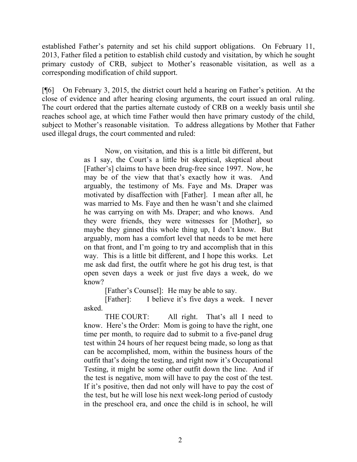established Father's paternity and set his child support obligations. On February 11, 2013, Father filed a petition to establish child custody and visitation, by which he sought primary custody of CRB, subject to Mother's reasonable visitation, as well as a corresponding modification of child support.

[¶6] On February 3, 2015, the district court held a hearing on Father's petition. At the close of evidence and after hearing closing arguments, the court issued an oral ruling. The court ordered that the parties alternate custody of CRB on a weekly basis until she reaches school age, at which time Father would then have primary custody of the child, subject to Mother's reasonable visitation. To address allegations by Mother that Father used illegal drugs, the court commented and ruled:

> Now, on visitation, and this is a little bit different, but as I say, the Court's a little bit skeptical, skeptical about [Father's] claims to have been drug-free since 1997. Now, he may be of the view that that's exactly how it was. And arguably, the testimony of Ms. Faye and Ms. Draper was motivated by disaffection with [Father]. I mean after all, he was married to Ms. Faye and then he wasn't and she claimed he was carrying on with Ms. Draper; and who knows. And they were friends, they were witnesses for [Mother], so maybe they ginned this whole thing up, I don't know. But arguably, mom has a comfort level that needs to be met here on that front, and I'm going to try and accomplish that in this way. This is a little bit different, and I hope this works. Let me ask dad first, the outfit where he got his drug test, is that open seven days a week or just five days a week, do we know?

> > [Father's Counsel]: He may be able to say.

[Father]: I believe it's five days a week. I never asked.

THE COURT: All right. That's all I need to know. Here's the Order: Mom is going to have the right, one time per month, to require dad to submit to a five-panel drug test within 24 hours of her request being made, so long as that can be accomplished, mom, within the business hours of the outfit that's doing the testing, and right now it's Occupational Testing, it might be some other outfit down the line. And if the test is negative, mom will have to pay the cost of the test. If it's positive, then dad not only will have to pay the cost of the test, but he will lose his next week-long period of custody in the preschool era, and once the child is in school, he will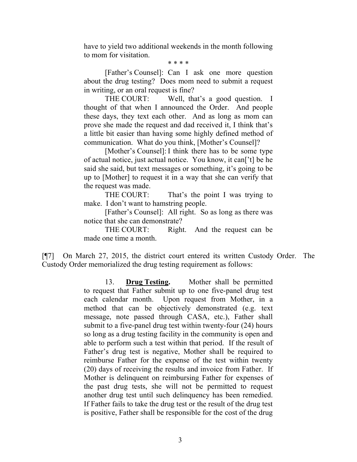have to yield two additional weekends in the month following to mom for visitation.

\* \* \* \*

[Father's Counsel]: Can I ask one more question about the drug testing? Does mom need to submit a request in writing, or an oral request is fine?

THE COURT: Well, that's a good question. I thought of that when I announced the Order. And people these days, they text each other. And as long as mom can prove she made the request and dad received it, I think that's a little bit easier than having some highly defined method of communication. What do you think, [Mother's Counsel]?

[Mother's Counsel]: I think there has to be some type of actual notice, just actual notice. You know, it can['t] be he said she said, but text messages or something, it's going to be up to [Mother] to request it in a way that she can verify that the request was made.

THE COURT: That's the point I was trying to make. I don't want to hamstring people.

[Father's Counsel]: All right. So as long as there was notice that she can demonstrate?

THE COURT: Right. And the request can be made one time a month.

[¶7] On March 27, 2015, the district court entered its written Custody Order. The Custody Order memorialized the drug testing requirement as follows:

> 13. **Drug Testing.** Mother shall be permitted to request that Father submit up to one five-panel drug test each calendar month. Upon request from Mother, in a method that can be objectively demonstrated (e.g. text message, note passed through CASA, etc.), Father shall submit to a five-panel drug test within twenty-four (24) hours so long as a drug testing facility in the community is open and able to perform such a test within that period. If the result of Father's drug test is negative, Mother shall be required to reimburse Father for the expense of the test within twenty (20) days of receiving the results and invoice from Father. If Mother is delinquent on reimbursing Father for expenses of the past drug tests, she will not be permitted to request another drug test until such delinquency has been remedied. If Father fails to take the drug test or the result of the drug test is positive, Father shall be responsible for the cost of the drug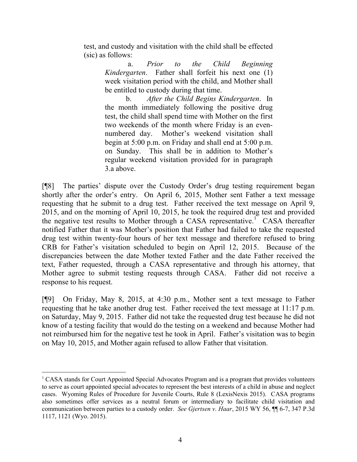test, and custody and visitation with the child shall be effected (sic) as follows:

> a. *Prior to the Child Beginning Kindergarten*. Father shall forfeit his next one (1) week visitation period with the child, and Mother shall be entitled to custody during that time.

> b. *After the Child Begins Kindergarten*. In the month immediately following the positive drug test, the child shall spend time with Mother on the first two weekends of the month where Friday is an evennumbered day. Mother's weekend visitation shall begin at 5:00 p.m. on Friday and shall end at 5:00 p.m. on Sunday. This shall be in addition to Mother's regular weekend visitation provided for in paragraph 3.a above.

[¶8] The parties' dispute over the Custody Order's drug testing requirement began shortly after the order's entry. On April 6, 2015, Mother sent Father a text message requesting that he submit to a drug test. Father received the text message on April 9, 2015, and on the morning of April 10, 2015, he took the required drug test and provided the negative test results to Mother through a CASA representative.<sup>1</sup> CASA thereafter notified Father that it was Mother's position that Father had failed to take the requested drug test within twenty-four hours of her text message and therefore refused to bring CRB for Father's visitation scheduled to begin on April 12, 2015. Because of the discrepancies between the date Mother texted Father and the date Father received the text, Father requested, through a CASA representative and through his attorney, that Mother agree to submit testing requests through CASA. Father did not receive a response to his request.

[¶9] On Friday, May 8, 2015, at 4:30 p.m., Mother sent a text message to Father requesting that he take another drug test. Father received the text message at 11:17 p.m. on Saturday, May 9, 2015. Father did not take the requested drug test because he did not know of a testing facility that would do the testing on a weekend and because Mother had not reimbursed him for the negative test he took in April. Father's visitation was to begin on May 10, 2015, and Mother again refused to allow Father that visitation.

<sup>1</sup> CASA stands for Court Appointed Special Advocates Program and is a program that provides volunteers to serve as court appointed special advocates to represent the best interests of a child in abuse and neglect cases. Wyoming Rules of Procedure for Juvenile Courts, Rule 8 (LexisNexis 2015). CASA programs also sometimes offer services as a neutral forum or intermediary to facilitate child visitation and communication between parties to a custody order. *See Gjertsen v. Haar*, 2015 WY 56, ¶¶ 6-7, 347 P.3d 1117, 1121 (Wyo. 2015).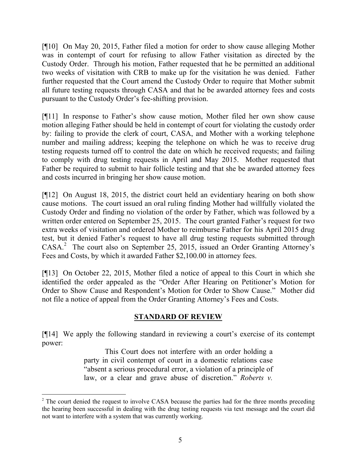[¶10] On May 20, 2015, Father filed a motion for order to show cause alleging Mother was in contempt of court for refusing to allow Father visitation as directed by the Custody Order. Through his motion, Father requested that he be permitted an additional two weeks of visitation with CRB to make up for the visitation he was denied. Father further requested that the Court amend the Custody Order to require that Mother submit all future testing requests through CASA and that he be awarded attorney fees and costs pursuant to the Custody Order's fee-shifting provision.

[¶11] In response to Father's show cause motion, Mother filed her own show cause motion alleging Father should be held in contempt of court for violating the custody order by: failing to provide the clerk of court, CASA, and Mother with a working telephone number and mailing address; keeping the telephone on which he was to receive drug testing requests turned off to control the date on which he received requests; and failing to comply with drug testing requests in April and May 2015. Mother requested that Father be required to submit to hair follicle testing and that she be awarded attorney fees and costs incurred in bringing her show cause motion.

[¶12] On August 18, 2015, the district court held an evidentiary hearing on both show cause motions. The court issued an oral ruling finding Mother had willfully violated the Custody Order and finding no violation of the order by Father, which was followed by a written order entered on September 25, 2015. The court granted Father's request for two extra weeks of visitation and ordered Mother to reimburse Father for his April 2015 drug test, but it denied Father's request to have all drug testing requests submitted through CASA.<sup>2</sup> The court also on September 25, 2015, issued an Order Granting Attorney's Fees and Costs, by which it awarded Father \$2,100.00 in attorney fees.

[¶13] On October 22, 2015, Mother filed a notice of appeal to this Court in which she identified the order appealed as the "Order After Hearing on Petitioner's Motion for Order to Show Cause and Respondent's Motion for Order to Show Cause." Mother did not file a notice of appeal from the Order Granting Attorney's Fees and Costs.

### **STANDARD OF REVIEW**

[¶14] We apply the following standard in reviewing a court's exercise of its contempt power:

> This Court does not interfere with an order holding a party in civil contempt of court in a domestic relations case "absent a serious procedural error, a violation of a principle of law, or a clear and grave abuse of discretion." *Roberts v.*

l

<sup>&</sup>lt;sup>2</sup> The court denied the request to involve CASA because the parties had for the three months preceding the hearing been successful in dealing with the drug testing requests via text message and the court did not want to interfere with a system that was currently working.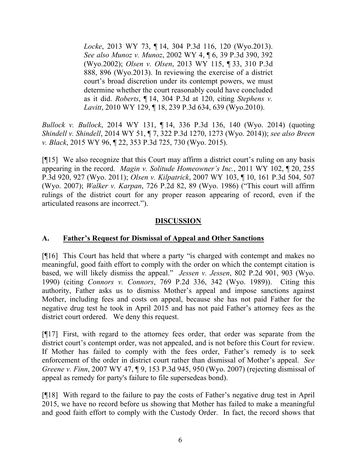*Locke*, 2013 WY 73, ¶ 14, 304 P.3d 116, 120 (Wyo.2013). *See also Munoz v. Munoz*, 2002 WY 4, ¶ 6, 39 P.3d 390, 392 (Wyo.2002); *Olsen v. Olsen*, 2013 WY 115, ¶ 33, 310 P.3d 888, 896 (Wyo.2013). In reviewing the exercise of a district court's broad discretion under its contempt powers, we must determine whether the court reasonably could have concluded as it did. *Roberts*, ¶ 14, 304 P.3d at 120, citing *Stephens v. Lavitt*, 2010 WY 129, ¶ 18, 239 P.3d 634, 639 (Wyo.2010).

*Bullock v. Bullock*, 2014 WY 131, ¶ 14, 336 P.3d 136, 140 (Wyo. 2014) (quoting *Shindell v. Shindell*, 2014 WY 51, ¶ 7, 322 P.3d 1270, 1273 (Wyo. 2014)); *see also Breen v. Black*, 2015 WY 96, ¶ 22, 353 P.3d 725, 730 (Wyo. 2015).

[¶15] We also recognize that this Court may affirm a district court's ruling on any basis appearing in the record. *Magin v. Solitude Homeowner's Inc.*, 2011 WY 102, ¶ 20, 255 P.3d 920, 927 (Wyo. 2011); *Olsen v. Kilpatrick*, 2007 WY 103, ¶ 10, 161 P.3d 504, 507 (Wyo. 2007); *Walker v. Karpan*, 726 P.2d 82, 89 (Wyo. 1986) ("This court will affirm rulings of the district court for any proper reason appearing of record, even if the articulated reasons are incorrect.").

## **DISCUSSION**

# **A. Father's Request for Dismissal of Appeal and Other Sanctions**

[¶16] This Court has held that where a party "is charged with contempt and makes no meaningful, good faith effort to comply with the order on which the contempt citation is based, we will likely dismiss the appeal." *Jessen v. Jessen*, 802 P.2d 901, 903 (Wyo. 1990) (citing *Connors v. Connors*, 769 P.2d 336, 342 (Wyo. 1989)). Citing this authority, Father asks us to dismiss Mother's appeal and impose sanctions against Mother, including fees and costs on appeal, because she has not paid Father for the negative drug test he took in April 2015 and has not paid Father's attorney fees as the district court ordered. We deny this request.

[¶17] First, with regard to the attorney fees order, that order was separate from the district court's contempt order, was not appealed, and is not before this Court for review. If Mother has failed to comply with the fees order, Father's remedy is to seek enforcement of the order in district court rather than dismissal of Mother's appeal. *See Greene v. Finn*, 2007 WY 47, ¶ 9, 153 P.3d 945, 950 (Wyo. 2007) (rejecting dismissal of appeal as remedy for party's failure to file supersedeas bond).

[¶18] With regard to the failure to pay the costs of Father's negative drug test in April 2015, we have no record before us showing that Mother has failed to make a meaningful and good faith effort to comply with the Custody Order. In fact, the record shows that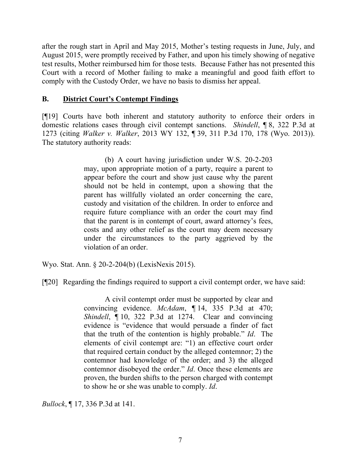after the rough start in April and May 2015, Mother's testing requests in June, July, and August 2015, were promptly received by Father, and upon his timely showing of negative test results, Mother reimbursed him for those tests. Because Father has not presented this Court with a record of Mother failing to make a meaningful and good faith effort to comply with the Custody Order, we have no basis to dismiss her appeal.

### **B. District Court's Contempt Findings**

[¶19] Courts have both inherent and statutory authority to enforce their orders in domestic relations cases through civil contempt sanctions. *Shindell*, ¶ 8, 322 P.3d at 1273 (citing *Walker v. Walker*, 2013 WY 132, ¶ 39, 311 P.3d 170, 178 (Wyo. 2013)). The statutory authority reads:

> (b) A court having jurisdiction under W.S. 20-2-203 may, upon appropriate motion of a party, require a parent to appear before the court and show just cause why the parent should not be held in contempt, upon a showing that the parent has willfully violated an order concerning the care, custody and visitation of the children. In order to enforce and require future compliance with an order the court may find that the parent is in contempt of court, award attorney's fees, costs and any other relief as the court may deem necessary under the circumstances to the party aggrieved by the violation of an order.

Wyo. Stat. Ann. § 20-2-204(b) (LexisNexis 2015).

[¶20] Regarding the findings required to support a civil contempt order, we have said:

A civil contempt order must be supported by clear and convincing evidence. *McAdam*, ¶ 14, 335 P.3d at 470; *Shindell*, ¶ 10, 322 P.3d at 1274. Clear and convincing evidence is "evidence that would persuade a finder of fact that the truth of the contention is highly probable." *Id*. The elements of civil contempt are: "1) an effective court order that required certain conduct by the alleged contemnor; 2) the contemnor had knowledge of the order; and 3) the alleged contemnor disobeyed the order." *Id*. Once these elements are proven, the burden shifts to the person charged with contempt to show he or she was unable to comply. *Id*.

*Bullock*, ¶ 17, 336 P.3d at 141.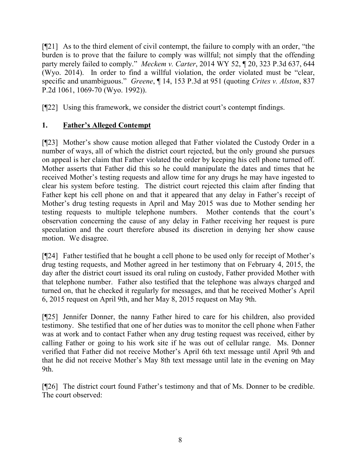[¶21] As to the third element of civil contempt, the failure to comply with an order, "the burden is to prove that the failure to comply was willful; not simply that the offending party merely failed to comply." *Meckem v. Carter*, 2014 WY 52, ¶ 20, 323 P.3d 637, 644 (Wyo. 2014). In order to find a willful violation, the order violated must be "clear, specific and unambiguous." *Greene*, ¶ 14, 153 P.3d at 951 (quoting *Crites v. Alston*, 837 P.2d 1061, 1069-70 (Wyo. 1992)).

[¶22] Using this framework, we consider the district court's contempt findings.

# **1. Father's Alleged Contempt**

[¶23] Mother's show cause motion alleged that Father violated the Custody Order in a number of ways, all of which the district court rejected, but the only ground she pursues on appeal is her claim that Father violated the order by keeping his cell phone turned off. Mother asserts that Father did this so he could manipulate the dates and times that he received Mother's testing requests and allow time for any drugs he may have ingested to clear his system before testing. The district court rejected this claim after finding that Father kept his cell phone on and that it appeared that any delay in Father's receipt of Mother's drug testing requests in April and May 2015 was due to Mother sending her testing requests to multiple telephone numbers. Mother contends that the court's observation concerning the cause of any delay in Father receiving her request is pure speculation and the court therefore abused its discretion in denying her show cause motion. We disagree.

[¶24] Father testified that he bought a cell phone to be used only for receipt of Mother's drug testing requests, and Mother agreed in her testimony that on February 4, 2015, the day after the district court issued its oral ruling on custody, Father provided Mother with that telephone number. Father also testified that the telephone was always charged and turned on, that he checked it regularly for messages, and that he received Mother's April 6, 2015 request on April 9th, and her May 8, 2015 request on May 9th.

[¶25] Jennifer Donner, the nanny Father hired to care for his children, also provided testimony. She testified that one of her duties was to monitor the cell phone when Father was at work and to contact Father when any drug testing request was received, either by calling Father or going to his work site if he was out of cellular range. Ms. Donner verified that Father did not receive Mother's April 6th text message until April 9th and that he did not receive Mother's May 8th text message until late in the evening on May 9th.

[¶26] The district court found Father's testimony and that of Ms. Donner to be credible. The court observed: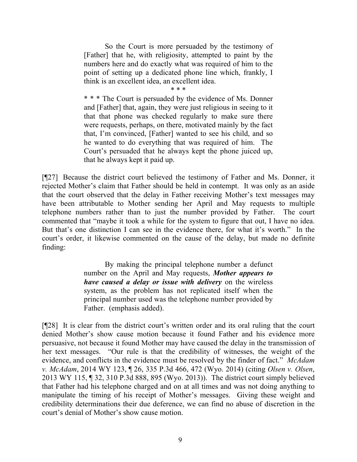So the Court is more persuaded by the testimony of [Father] that he, with religiosity, attempted to paint by the numbers here and do exactly what was required of him to the point of setting up a dedicated phone line which, frankly, I think is an excellent idea, an excellent idea.

\* \* \*

\* \* \* The Court is persuaded by the evidence of Ms. Donner and [Father] that, again, they were just religious in seeing to it that that phone was checked regularly to make sure there were requests, perhaps, on there, motivated mainly by the fact that, I'm convinced, [Father] wanted to see his child, and so he wanted to do everything that was required of him. The Court's persuaded that he always kept the phone juiced up, that he always kept it paid up.

[¶27] Because the district court believed the testimony of Father and Ms. Donner, it rejected Mother's claim that Father should be held in contempt. It was only as an aside that the court observed that the delay in Father receiving Mother's text messages may have been attributable to Mother sending her April and May requests to multiple telephone numbers rather than to just the number provided by Father. The court commented that "maybe it took a while for the system to figure that out, I have no idea. But that's one distinction I can see in the evidence there, for what it's worth." In the court's order, it likewise commented on the cause of the delay, but made no definite finding:

> By making the principal telephone number a defunct number on the April and May requests, *Mother appears to have caused a delay or issue with delivery* on the wireless system, as the problem has not replicated itself when the principal number used was the telephone number provided by Father. (emphasis added).

[¶28] It is clear from the district court's written order and its oral ruling that the court denied Mother's show cause motion because it found Father and his evidence more persuasive, not because it found Mother may have caused the delay in the transmission of her text messages. "Our rule is that the credibility of witnesses, the weight of the evidence, and conflicts in the evidence must be resolved by the finder of fact." *McAdam v. McAdam*, 2014 WY 123, ¶ 26, 335 P.3d 466, 472 (Wyo. 2014) (citing *Olsen v. Olsen*, 2013 WY 115, ¶ 32, 310 P.3d 888, 895 (Wyo. 2013)). The district court simply believed that Father had his telephone charged and on at all times and was not doing anything to manipulate the timing of his receipt of Mother's messages. Giving these weight and credibility determinations their due deference, we can find no abuse of discretion in the court's denial of Mother's show cause motion.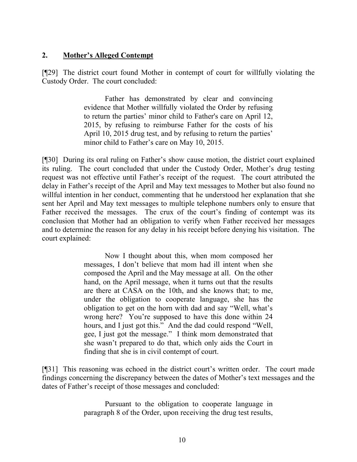## **2. Mother's Alleged Contempt**

[¶29] The district court found Mother in contempt of court for willfully violating the Custody Order. The court concluded:

> Father has demonstrated by clear and convincing evidence that Mother willfully violated the Order by refusing to return the parties' minor child to Father's care on April 12, 2015, by refusing to reimburse Father for the costs of his April 10, 2015 drug test, and by refusing to return the parties' minor child to Father's care on May 10, 2015.

[¶30] During its oral ruling on Father's show cause motion, the district court explained its ruling. The court concluded that under the Custody Order, Mother's drug testing request was not effective until Father's receipt of the request. The court attributed the delay in Father's receipt of the April and May text messages to Mother but also found no willful intention in her conduct, commenting that he understood her explanation that she sent her April and May text messages to multiple telephone numbers only to ensure that Father received the messages. The crux of the court's finding of contempt was its conclusion that Mother had an obligation to verify when Father received her messages and to determine the reason for any delay in his receipt before denying his visitation. The court explained:

> Now I thought about this, when mom composed her messages, I don't believe that mom had ill intent when she composed the April and the May message at all. On the other hand, on the April message, when it turns out that the results are there at CASA on the 10th, and she knows that; to me, under the obligation to cooperate language, she has the obligation to get on the horn with dad and say "Well, what's wrong here? You're supposed to have this done within 24 hours, and I just got this." And the dad could respond "Well, gee, I just got the message." I think mom demonstrated that she wasn't prepared to do that, which only aids the Court in finding that she is in civil contempt of court.

[¶31] This reasoning was echoed in the district court's written order. The court made findings concerning the discrepancy between the dates of Mother's text messages and the dates of Father's receipt of those messages and concluded:

> Pursuant to the obligation to cooperate language in paragraph 8 of the Order, upon receiving the drug test results,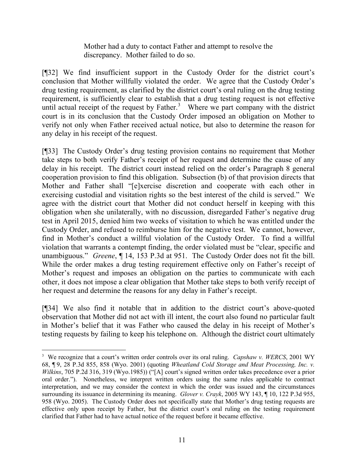Mother had a duty to contact Father and attempt to resolve the discrepancy. Mother failed to do so.

[¶32] We find insufficient support in the Custody Order for the district court's conclusion that Mother willfully violated the order. We agree that the Custody Order's drug testing requirement, as clarified by the district court's oral ruling on the drug testing requirement, is sufficiently clear to establish that a drug testing request is not effective until actual receipt of the request by Father.<sup>3</sup> Where we part company with the district court is in its conclusion that the Custody Order imposed an obligation on Mother to verify not only when Father received actual notice, but also to determine the reason for any delay in his receipt of the request.

[¶33] The Custody Order's drug testing provision contains no requirement that Mother take steps to both verify Father's receipt of her request and determine the cause of any delay in his receipt. The district court instead relied on the order's Paragraph 8 general cooperation provision to find this obligation. Subsection (b) of that provision directs that Mother and Father shall "[e]xercise discretion and cooperate with each other in exercising custodial and visitation rights so the best interest of the child is served." We agree with the district court that Mother did not conduct herself in keeping with this obligation when she unilaterally, with no discussion, disregarded Father's negative drug test in April 2015, denied him two weeks of visitation to which he was entitled under the Custody Order, and refused to reimburse him for the negative test. We cannot, however, find in Mother's conduct a willful violation of the Custody Order. To find a willful violation that warrants a contempt finding, the order violated must be "clear, specific and unambiguous." *Greene*, ¶ 14, 153 P.3d at 951. The Custody Order does not fit the bill. While the order makes a drug testing requirement effective only on Father's receipt of Mother's request and imposes an obligation on the parties to communicate with each other, it does not impose a clear obligation that Mother take steps to both verify receipt of her request and determine the reasons for any delay in Father's receipt.

[¶34] We also find it notable that in addition to the district court's above-quoted observation that Mother did not act with ill intent, the court also found no particular fault in Mother's belief that it was Father who caused the delay in his receipt of Mother's testing requests by failing to keep his telephone on. Although the district court ultimately

 $\overline{a}$ 

<sup>3</sup> We recognize that a court's written order controls over its oral ruling. *Capshaw v. WERCS*, 2001 WY 68, ¶ 9, 28 P.3d 855, 858 (Wyo. 2001) (quoting *Wheatland Cold Storage and Meat Processing, Inc. v. Wilkins*, 705 P.2d 316, 319 (Wyo.1985)) ("[A] court's signed written order takes precedence over a prior oral order."). Nonetheless, we interpret written orders using the same rules applicable to contract interpretation, and we may consider the context in which the order was issued and the circumstances surrounding its issuance in determining its meaning. *Glover v. Crayk*, 2005 WY 143, ¶ 10, 122 P.3d 955, 958 (Wyo. 2005). The Custody Order does not specifically state that Mother's drug testing requests are effective only upon receipt by Father, but the district court's oral ruling on the testing requirement clarified that Father had to have actual notice of the request before it became effective.